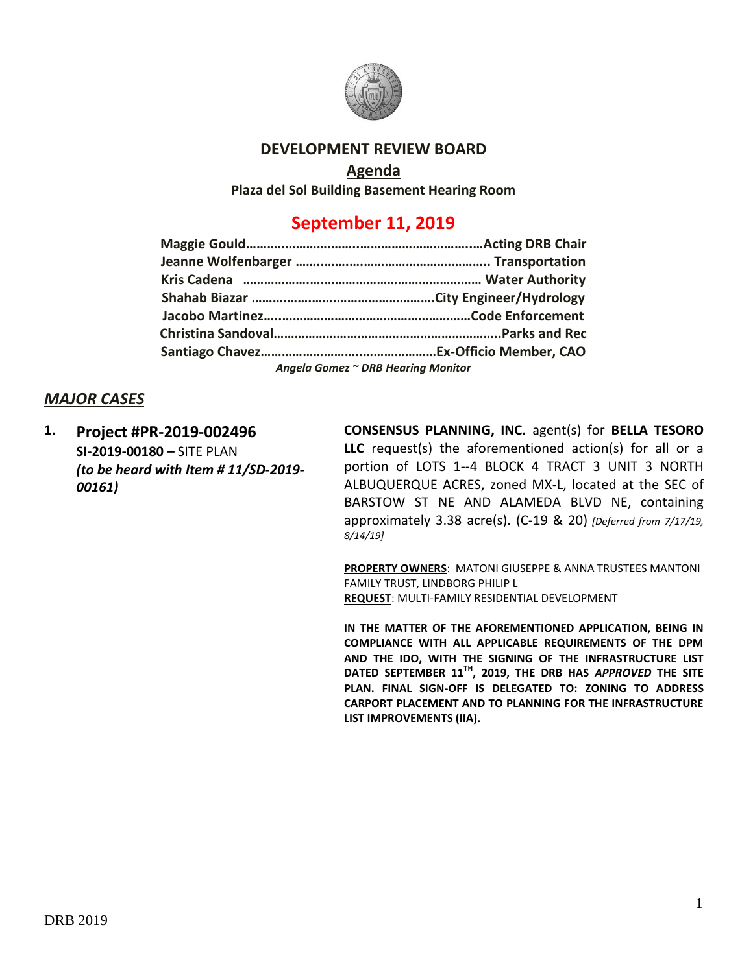

### **DEVELOPMENT REVIEW BOARD**

#### **Agenda**

**Plaza del Sol Building Basement Hearing Room**

# **September 11, 2019**

| Angela Gomez ~ DRB Hearing Monitor |  |  |  |  |
|------------------------------------|--|--|--|--|

#### *MAJOR CASES*

**1. Project #PR-2019-002496 SI-2019-00180 –** SITE PLAN *(to be heard with Item # 11/SD-2019- 00161)*

**CONSENSUS PLANNING, INC.** agent(s) for **BELLA TESORO LLC** request(s) the aforementioned action(s) for all or a portion of LOTS 1--4 BLOCK 4 TRACT 3 UNIT 3 NORTH ALBUQUERQUE ACRES, zoned MX-L, located at the SEC of BARSTOW ST NE AND ALAMEDA BLVD NE, containing approximately 3.38 acre(s). (C-19 & 20) *[Deferred from 7/17/19, 8/14/19]*

**PROPERTY OWNERS**: MATONI GIUSEPPE & ANNA TRUSTEES MANTONI FAMILY TRUST, LINDBORG PHILIP L **REQUEST**: MULTI-FAMILY RESIDENTIAL DEVELOPMENT

**IN THE MATTER OF THE AFOREMENTIONED APPLICATION, BEING IN COMPLIANCE WITH ALL APPLICABLE REQUIREMENTS OF THE DPM AND THE IDO, WITH THE SIGNING OF THE INFRASTRUCTURE LIST DATED SEPTEMBER 11TH, 2019, THE DRB HAS** *APPROVED* **THE SITE PLAN. FINAL SIGN-OFF IS DELEGATED TO: ZONING TO ADDRESS CARPORT PLACEMENT AND TO PLANNING FOR THE INFRASTRUCTURE LIST IMPROVEMENTS (IIA).**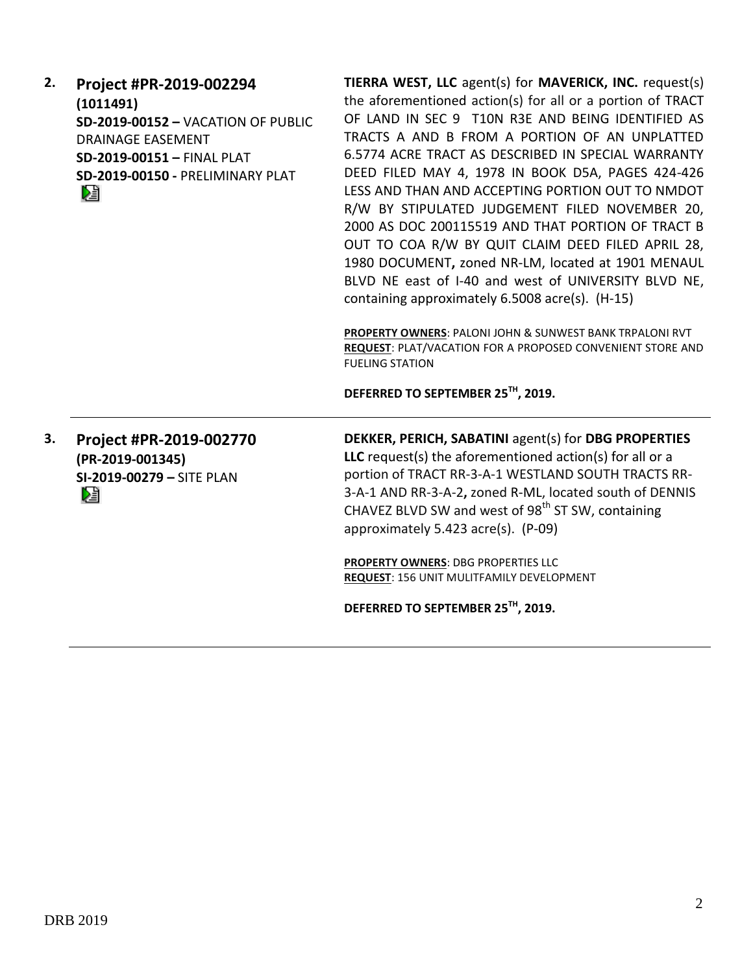| 2. | Project #PR-2019-002294<br>(1011491)<br>SD-2019-00152 - VACATION OF PUBLIC<br><b>DRAINAGE EASEMENT</b><br>SD-2019-00151 - FINAL PLAT<br>SD-2019-00150 - PRELIMINARY PLAT<br>V. | TIERRA WEST, LLC agent(s) for MAVERICK, INC. request(s)<br>the aforementioned action(s) for all or a portion of TRACT<br>OF LAND IN SEC 9 T10N R3E AND BEING IDENTIFIED AS<br>TRACTS A AND B FROM A PORTION OF AN UNPLATTED<br>6.5774 ACRE TRACT AS DESCRIBED IN SPECIAL WARRANTY<br>DEED FILED MAY 4, 1978 IN BOOK D5A, PAGES 424-426<br>LESS AND THAN AND ACCEPTING PORTION OUT TO NMDOT<br>R/W BY STIPULATED JUDGEMENT FILED NOVEMBER 20,<br>2000 AS DOC 200115519 AND THAT PORTION OF TRACT B<br>OUT TO COA R/W BY QUIT CLAIM DEED FILED APRIL 28,<br>1980 DOCUMENT, zoned NR-LM, located at 1901 MENAUL<br>BLVD NE east of I-40 and west of UNIVERSITY BLVD NE,<br>containing approximately 6.5008 acre(s). (H-15)<br>PROPERTY OWNERS: PALONI JOHN & SUNWEST BANK TRPALONI RVT<br>REQUEST: PLAT/VACATION FOR A PROPOSED CONVENIENT STORE AND<br><b>FUELING STATION</b> |
|----|--------------------------------------------------------------------------------------------------------------------------------------------------------------------------------|-----------------------------------------------------------------------------------------------------------------------------------------------------------------------------------------------------------------------------------------------------------------------------------------------------------------------------------------------------------------------------------------------------------------------------------------------------------------------------------------------------------------------------------------------------------------------------------------------------------------------------------------------------------------------------------------------------------------------------------------------------------------------------------------------------------------------------------------------------------------------------|
|    |                                                                                                                                                                                | DEFERRED TO SEPTEMBER 25TH, 2019.                                                                                                                                                                                                                                                                                                                                                                                                                                                                                                                                                                                                                                                                                                                                                                                                                                           |
| 3. | Project #PR-2019-002770<br>(PR-2019-001345)<br>SI-2019-00279 - SITE PLAN<br>N                                                                                                  | DEKKER, PERICH, SABATINI agent(s) for DBG PROPERTIES<br>LLC request(s) the aforementioned $action(s)$ for all or a<br>portion of TRACT RR-3-A-1 WESTLAND SOUTH TRACTS RR-<br>3-A-1 AND RR-3-A-2, zoned R-ML, located south of DENNIS<br>CHAVEZ BLVD SW and west of 98 <sup>th</sup> ST SW, containing<br>approximately 5.423 acre(s). (P-09)<br><b>PROPERTY OWNERS: DBG PROPERTIES LLC</b><br>REQUEST: 156 UNIT MULITFAMILY DEVELOPMENT<br>DEFERRED TO SEPTEMBER 25TH, 2019.                                                                                                                                                                                                                                                                                                                                                                                                |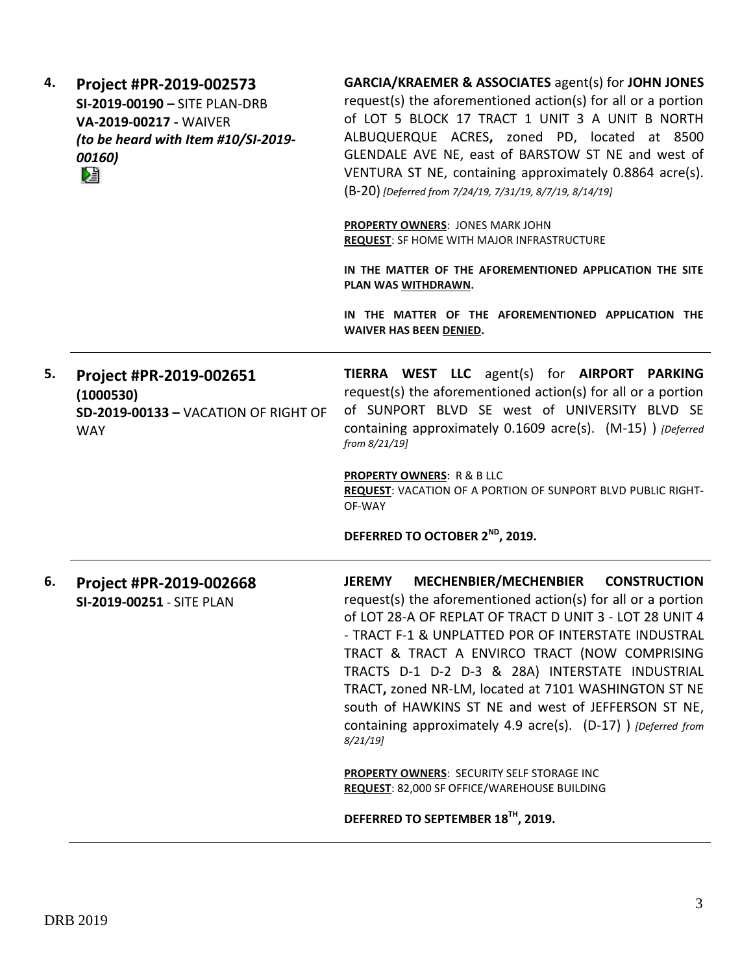| 4. | Project #PR-2019-002573<br>SI-2019-00190 - SITE PLAN-DRB<br>VA-2019-00217 - WAIVER<br>(to be heard with Item #10/SI-2019-<br>00160)<br>r. | <b>GARCIA/KRAEMER &amp; ASSOCIATES agent(s) for JOHN JONES</b><br>request(s) the aforementioned action(s) for all or a portion<br>of LOT 5 BLOCK 17 TRACT 1 UNIT 3 A UNIT B NORTH<br>ALBUQUERQUE ACRES, zoned PD, located at 8500<br>GLENDALE AVE NE, east of BARSTOW ST NE and west of<br>VENTURA ST NE, containing approximately 0.8864 acre(s).<br>(B-20) [Deferred from 7/24/19, 7/31/19, 8/7/19, 8/14/19]                                                                                                                                     |
|----|-------------------------------------------------------------------------------------------------------------------------------------------|----------------------------------------------------------------------------------------------------------------------------------------------------------------------------------------------------------------------------------------------------------------------------------------------------------------------------------------------------------------------------------------------------------------------------------------------------------------------------------------------------------------------------------------------------|
|    |                                                                                                                                           | <b>PROPERTY OWNERS: JONES MARK JOHN</b><br><b>REQUEST: SF HOME WITH MAJOR INFRASTRUCTURE</b>                                                                                                                                                                                                                                                                                                                                                                                                                                                       |
|    |                                                                                                                                           | IN THE MATTER OF THE AFOREMENTIONED APPLICATION THE SITE<br>PLAN WAS WITHDRAWN.                                                                                                                                                                                                                                                                                                                                                                                                                                                                    |
|    |                                                                                                                                           | IN THE MATTER OF THE AFOREMENTIONED APPLICATION THE<br>WAIVER HAS BEEN DENIED.                                                                                                                                                                                                                                                                                                                                                                                                                                                                     |
| 5. | Project #PR-2019-002651<br>(1000530)<br>SD-2019-00133 - VACATION OF RIGHT OF<br><b>WAY</b>                                                | TIERRA WEST LLC agent(s) for AIRPORT PARKING<br>request(s) the aforementioned action(s) for all or a portion<br>of SUNPORT BLVD SE west of UNIVERSITY BLVD SE<br>containing approximately 0.1609 acre(s). (M-15) ) [Deferred<br>from 8/21/19]                                                                                                                                                                                                                                                                                                      |
|    |                                                                                                                                           | <b>PROPERTY OWNERS: R &amp; B LLC</b><br>REQUEST: VACATION OF A PORTION OF SUNPORT BLVD PUBLIC RIGHT-<br>OF-WAY                                                                                                                                                                                                                                                                                                                                                                                                                                    |
|    |                                                                                                                                           | DEFERRED TO OCTOBER 2 <sup>ND</sup> , 2019.                                                                                                                                                                                                                                                                                                                                                                                                                                                                                                        |
| 6. | Project #PR-2019-002668<br>SI-2019-00251 - SITE PLAN                                                                                      | MECHENBIER/MECHENBIER<br><b>CONSTRUCTION</b><br><b>JEREMY</b><br>request(s) the aforementioned action(s) for all or a portion<br>of LOT 28-A OF REPLAT OF TRACT D UNIT 3 - LOT 28 UNIT 4<br>- TRACT F-1 & UNPLATTED POR OF INTERSTATE INDUSTRAL<br>TRACT & TRACT A ENVIRCO TRACT (NOW COMPRISING<br>TRACTS D-1 D-2 D-3 & 28A) INTERSTATE INDUSTRIAL<br>TRACT, zoned NR-LM, located at 7101 WASHINGTON ST NE<br>south of HAWKINS ST NE and west of JEFFERSON ST NE,<br>containing approximately 4.9 acre(s). (D-17) ) [Deferred from<br>$8/21/19$ ] |
|    |                                                                                                                                           | PROPERTY OWNERS: SECURITY SELF STORAGE INC<br>REQUEST: 82,000 SF OFFICE/WAREHOUSE BUILDING                                                                                                                                                                                                                                                                                                                                                                                                                                                         |
|    |                                                                                                                                           | DEFERRED TO SEPTEMBER 18 <sup>TH</sup> , 2019.                                                                                                                                                                                                                                                                                                                                                                                                                                                                                                     |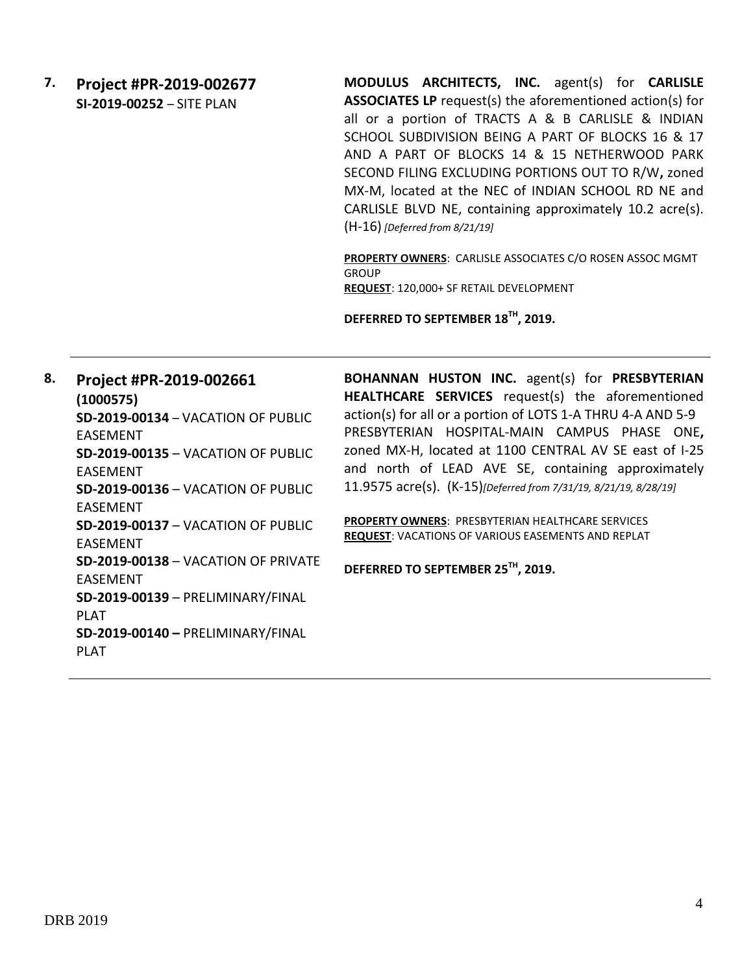## **7. Project #PR-2019-002677 SI-2019-00252** – SITE PLAN

**MODULUS ARCHITECTS, INC.** agent(s) for **CARLISLE ASSOCIATES LP** request(s) the aforementioned action(s) for all or a portion of TRACTS A & B CARLISLE & INDIAN SCHOOL SUBDIVISION BEING A PART OF BLOCKS 16 & 17 AND A PART OF BLOCKS 14 & 15 NETHERWOOD PARK SECOND FILING EXCLUDING PORTIONS OUT TO R/W**,** zoned MX-M, located at the NEC of INDIAN SCHOOL RD NE and CARLISLE BLVD NE, containing approximately 10.2 acre(s). (H-16) *[Deferred from 8/21/19]*

**PROPERTY OWNERS**: CARLISLE ASSOCIATES C/O ROSEN ASSOC MGMT **GROUP REQUEST**: 120,000+ SF RETAIL DEVELOPMENT

**DEFERRED TO SEPTEMBER 18TH, 2019.**

**8. Project #PR-2019-002661 (1000575) SD-2019-00134** – VACATION OF PUBLIC EASEMENT **SD-2019-00135** – VACATION OF PUBLIC EASEMENT **SD-2019-00136** – VACATION OF PUBLIC EASEMENT **SD-2019-00137** – VACATION OF PUBLIC EASEMENT **SD-2019-00138** – VACATION OF PRIVATE EASEMENT **SD-2019-00139** – PRELIMINARY/FINAL PLAT **SD-2019-00140 –** PRELIMINARY/FINAL **BOHANNAN HUSTON INC.** agent(s) for **PRESBYTERIAN HEALTHCARE SERVICES** request(s) the aforementioned action(s) for all or a portion of LOTS 1-A THRU 4-A AND 5-9 PRESBYTERIAN HOSPITAL-MAIN CAMPUS PHASE ONE**,**  zoned MX-H, located at 1100 CENTRAL AV SE east of I-25 and north of LEAD AVE SE, containing approximately 11.9575 acre(s). (K-15)*[Deferred from 7/31/19, 8/21/19, 8/28/19]* **PROPERTY OWNERS**: PRESBYTERIAN HEALTHCARE SERVICES **REQUEST**: VACATIONS OF VARIOUS EASEMENTS AND REPLAT **DEFERRED TO SEPTEMBER 25TH, 2019.** 

PLAT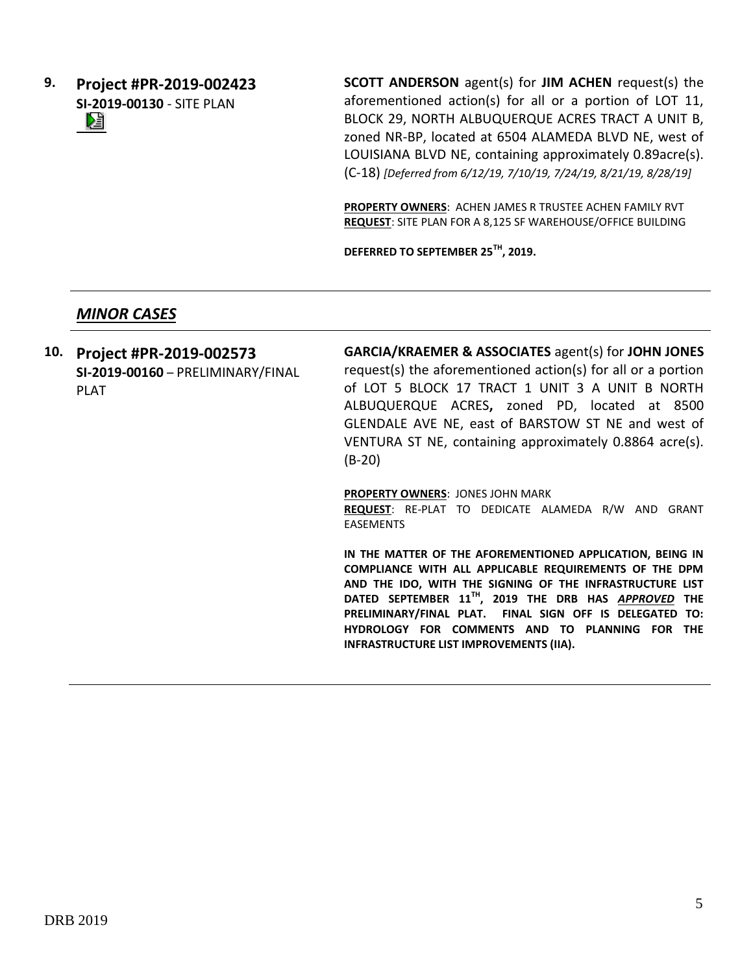**9. Project #PR-2019-002423 SI-2019-00130** - SITE PLAN Dă 

**SCOTT ANDERSON** agent(s) for **JIM ACHEN** request(s) the aforementioned action(s) for all or a portion of LOT 11, BLOCK 29, NORTH ALBUQUERQUE ACRES TRACT A UNIT B, zoned NR-BP, located at 6504 ALAMEDA BLVD NE, west of LOUISIANA BLVD NE, containing approximately 0.89acre(s). (C-18) *[Deferred from 6/12/19, 7/10/19, 7/24/19, 8/21/19, 8/28/19]*

**PROPERTY OWNERS**: ACHEN JAMES R TRUSTEE ACHEN FAMILY RVT **REQUEST**: SITE PLAN FOR A 8,125 SF WAREHOUSE/OFFICE BUILDING

**DEFERRED TO SEPTEMBER 25TH, 2019.**

#### *MINOR CASES*

**10. Project #PR-2019-002573 SI-2019-00160** – PRELIMINARY/FINAL PLAT **GARCIA/KRAEMER & ASSOCIATES** agent(s) for **JOHN JONES** request(s) the aforementioned action(s) for all or a portion of LOT 5 BLOCK 17 TRACT 1 UNIT 3 A UNIT B NORTH ALBUQUERQUE ACRES**,** zoned PD, located at 8500 GLENDALE AVE NE, east of BARSTOW ST NE and west of VENTURA ST NE, containing approximately 0.8864 acre(s). (B-20)

> **PROPERTY OWNERS**: JONES JOHN MARK **REQUEST**: RE-PLAT TO DEDICATE ALAMEDA R/W AND GRANT EASEMENTS

> **IN THE MATTER OF THE AFOREMENTIONED APPLICATION, BEING IN COMPLIANCE WITH ALL APPLICABLE REQUIREMENTS OF THE DPM AND THE IDO, WITH THE SIGNING OF THE INFRASTRUCTURE LIST DATED SEPTEMBER 11TH, 2019 THE DRB HAS** *APPROVED* **THE PRELIMINARY/FINAL PLAT. FINAL SIGN OFF IS DELEGATED TO: HYDROLOGY FOR COMMENTS AND TO PLANNING FOR THE INFRASTRUCTURE LIST IMPROVEMENTS (IIA).**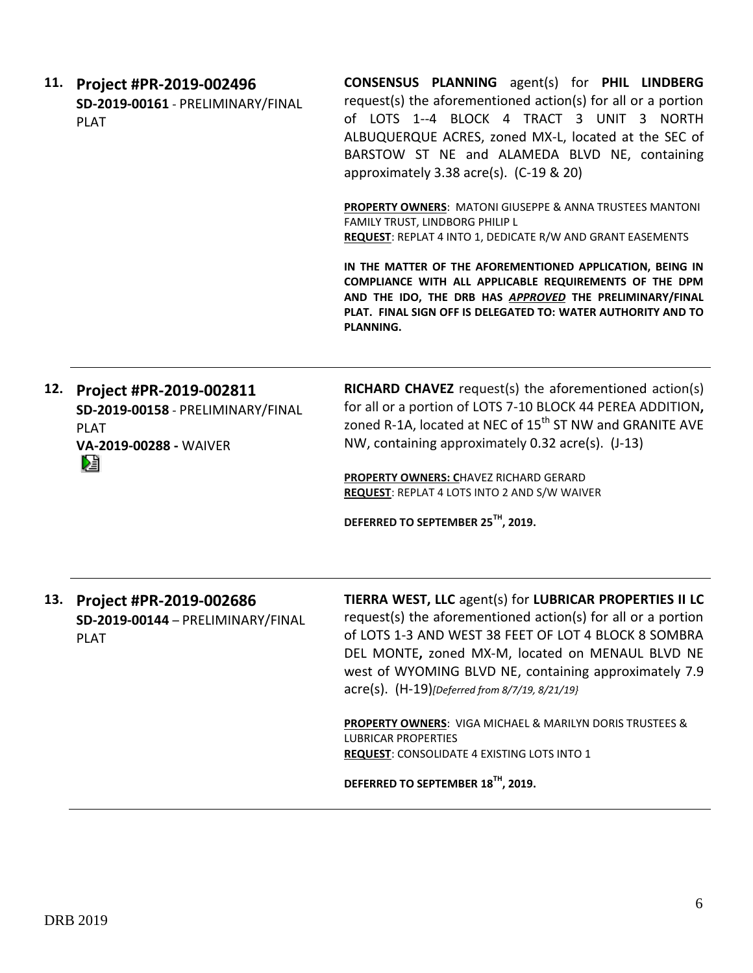| 11. Project #PR-2019-002496<br>SD-2019-00161 - PRELIMINARY/FINAL<br>PLAT | <b>CONSENSUS PLANNING</b> agent(s) for PHIL LINDBERG<br>request(s) the aforementioned action(s) for all or a portion<br>of LOTS 1--4 BLOCK 4 TRACT 3 UNIT 3 NORTH<br>ALBUQUERQUE ACRES, zoned MX-L, located at the SEC of<br>BARSTOW ST NE and ALAMEDA BLVD NE, containing<br>approximately 3.38 acre(s). $(C-19 \& 20)$ |
|--------------------------------------------------------------------------|--------------------------------------------------------------------------------------------------------------------------------------------------------------------------------------------------------------------------------------------------------------------------------------------------------------------------|
|                                                                          | <b>PROPERTY OWNERS: MATONI GIUSEPPE &amp; ANNA TRUSTEES MANTONI</b><br>FAMILY TRUST, LINDBORG PHILIP L                                                                                                                                                                                                                   |

**REQUEST**: REPLAT 4 INTO 1, DEDICATE R/W AND GRANT EASEMENTS

**IN THE MATTER OF THE AFOREMENTIONED APPLICATION, BEING IN COMPLIANCE WITH ALL APPLICABLE REQUIREMENTS OF THE DPM AND THE IDO, THE DRB HAS** *APPROVED* **THE PRELIMINARY/FINAL PLAT. FINAL SIGN OFF IS DELEGATED TO: WATER AUTHORITY AND TO PLANNING.**

**12. Project #PR-2019-002811 SD-2019-00158** - PRELIMINARY/FINAL PLAT **VA-2019-00288 -** WAIVER

**RICHARD CHAVEZ** request(s) the aforementioned action(s) for all or a portion of LOTS 7-10 BLOCK 44 PEREA ADDITION**,**  zoned R-1A, located at NEC of  $15<sup>th</sup>$  ST NW and GRANITE AVE NW, containing approximately 0.32 acre(s). (J-13)

**PROPERTY OWNERS: C**HAVEZ RICHARD GERARD **REQUEST**: REPLAT 4 LOTS INTO 2 AND S/W WAIVER

**DEFERRED TO SEPTEMBER 25TH, 2019.**

**13. Project #PR-2019-002686 SD-2019-00144** – PRELIMINARY/FINAL PLAT

**TIERRA WEST, LLC** agent(s) for **LUBRICAR PROPERTIES II LC** request(s) the aforementioned action(s) for all or a portion of LOTS 1-3 AND WEST 38 FEET OF LOT 4 BLOCK 8 SOMBRA DEL MONTE**,** zoned MX-M, located on MENAUL BLVD NE west of WYOMING BLVD NE, containing approximately 7.9 acre(s). (H-19)*[Deferred from 8/7/19, 8/21/19}*

**PROPERTY OWNERS**: VIGA MICHAEL & MARILYN DORIS TRUSTEES & LUBRICAR PROPERTIES **REQUEST**: CONSOLIDATE 4 EXISTING LOTS INTO 1

**DEFERRED TO SEPTEMBER 18TH, 2019.**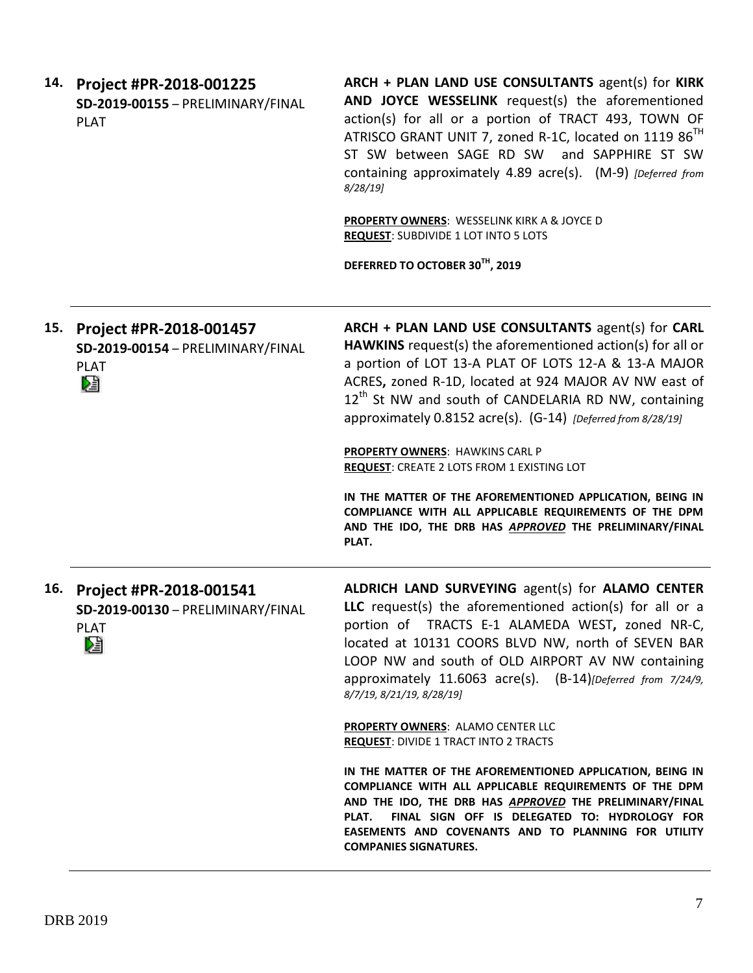| 14. | Project #PR-2018-001225<br>SD-2019-00155 - PRELIMINARY/FINAL<br><b>PLAT</b>      | ARCH + PLAN LAND USE CONSULTANTS agent(s) for KIRK<br>AND JOYCE WESSELINK request(s) the aforementioned<br>action(s) for all or a portion of TRACT 493, TOWN OF<br>ATRISCO GRANT UNIT 7, zoned R-1C, located on 1119 86 <sup>TH</sup><br>ST SW between SAGE RD SW and SAPPHIRE ST SW<br>containing approximately 4.89 acre(s). (M-9) [Deferred from<br>$8/28/19$ ]     |
|-----|----------------------------------------------------------------------------------|------------------------------------------------------------------------------------------------------------------------------------------------------------------------------------------------------------------------------------------------------------------------------------------------------------------------------------------------------------------------|
|     |                                                                                  | <b>PROPERTY OWNERS: WESSELINK KIRK A &amp; JOYCE D</b><br><b>REQUEST: SUBDIVIDE 1 LOT INTO 5 LOTS</b>                                                                                                                                                                                                                                                                  |
|     |                                                                                  | DEFERRED TO OCTOBER 30TH, 2019                                                                                                                                                                                                                                                                                                                                         |
| 15. | Project #PR-2018-001457<br>SD-2019-00154 - PRELIMINARY/FINAL<br><b>PLAT</b><br>N | ARCH + PLAN LAND USE CONSULTANTS agent(s) for CARL<br>HAWKINS request(s) the aforementioned action(s) for all or<br>a portion of LOT 13-A PLAT OF LOTS 12-A & 13-A MAJOR<br>ACRES, zoned R-1D, located at 924 MAJOR AV NW east of<br>12 <sup>th</sup> St NW and south of CANDELARIA RD NW, containing<br>approximately 0.8152 acre(s). (G-14) [Deferred from 8/28/19]  |
|     |                                                                                  | <b>PROPERTY OWNERS: HAWKINS CARL P</b><br><b>REQUEST: CREATE 2 LOTS FROM 1 EXISTING LOT</b>                                                                                                                                                                                                                                                                            |
|     |                                                                                  | IN THE MATTER OF THE AFOREMENTIONED APPLICATION, BEING IN<br>COMPLIANCE WITH ALL APPLICABLE REQUIREMENTS OF THE DPM<br>AND THE IDO, THE DRB HAS APPROVED THE PRELIMINARY/FINAL<br>PLAT.                                                                                                                                                                                |
| 16. | Project #PR-2018-001541<br>SD-2019-00130 - PRELIMINARY/FINAL<br><b>PLAT</b><br>V | ALDRICH LAND SURVEYING agent(s) for ALAMO CENTER<br>LLC request(s) the aforementioned action(s) for all or a<br>portion of TRACTS E-1 ALAMEDA WEST, zoned NR-C,<br>located at 10131 COORS BLVD NW, north of SEVEN BAR<br>LOOP NW and south of OLD AIRPORT AV NW containing<br>approximately 11.6063 acre(s). (B-14)[Deferred from 7/24/9,<br>8/7/19, 8/21/19, 8/28/19] |
|     |                                                                                  | <b>PROPERTY OWNERS: ALAMO CENTER LLC</b><br><b>REQUEST: DIVIDE 1 TRACT INTO 2 TRACTS</b>                                                                                                                                                                                                                                                                               |
|     |                                                                                  | IN THE MATTER OF THE AFOREMENTIONED APPLICATION, BEING IN<br>COMPLIANCE WITH ALL APPLICABLE REQUIREMENTS OF THE DPM<br>AND THE IDO, THE DRB HAS APPROVED THE PRELIMINARY/FINAL<br>FINAL SIGN OFF IS DELEGATED TO: HYDROLOGY FOR<br>PLAT.<br>EASEMENTS AND COVENANTS AND TO PLANNING FOR UTILITY<br><b>COMPANIES SIGNATURES.</b>                                        |